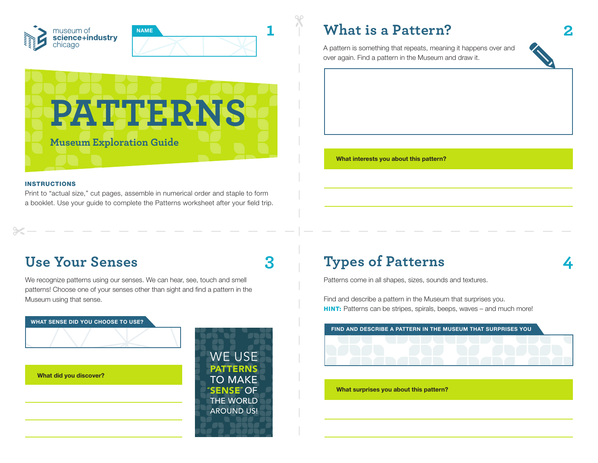



#### INSTRUCTIONS

Print to "actual size," cut pages, assemble in numerical order and staple to form a booklet. Use your guide to complete the Patterns worksheet after your field trip.

A pattern is something that repeats, meaning it happens over and over again. Find a pattern in the Museum and draw it.



## **Use Your Senses**

We recognize patterns using our senses. We can hear, see, touch and smell patterns! Choose one of your senses other than sight and find a pattern in the Museum using that sense.



# **3 4 Types of Patterns**

Patterns come in all shapes, sizes, sounds and textures.

Find and describe a pattern in the Museum that surprises you. **HINT:** Patterns can be stripes, spirals, beeps, waves – and much more!

**What surprises you about this pattern?**